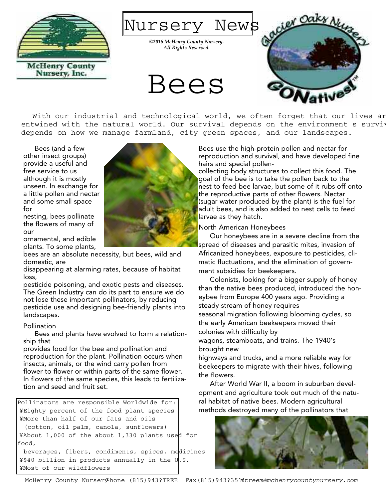

Nursery News

*©2016 McHenry County Nursery. All Rights Reserved.*





With our industrial and technological world, we often forget that our lives ar entwined with the natural world. Our survival depends on the environment s surviv depends on how we manage farmland, city green spaces, and our landscapes.

Bees (and a few other insect groups) provide a useful and free service to us although it is mostly unseen. In exchange for a little pollen and nectar and some small space for

nesting, bees pollinate the flowers of many of our

ornamental, and edible plants. To some plants,

bees are an absolute necessity, but bees, wild and domestic, are

disappearing at alarming rates, because of habitat loss,

pesticide poisoning, and exotic pests and diseases. The Green Industry can do its part to ensure we do not lose these important pollinators, by reducing pesticide use and designing bee-friendly plants into landscapes.

#### Pollination

Bees and plants have evolved to form a relationship that

provides food for the bee and pollination and reproduction for the plant. Pollination occurs when insects, animals, or the wind carry pollen from flower to flower or within parts of the same flower. In flowers of the same species, this leads to fertilization and seed and fruit set.

Pollinators are responsible Worldwide for: ¥Eighty percent of the food plant species ¥More than half of our fats and oils (cotton, oil palm, canola, sunflowers) ¥About 1,000 of the about 1,330 plants used for food,

beverages, fibers, condiments, spices, medicines ¥\$40 billion in products annually in the U.S. ¥Most of our wildflowers

Bees use the high-protein pollen and nectar for reproduction and survival, and have developed fine hairs and special pollen-

collecting body structures to collect this food. The goal of the bee is to take the pollen back to the nest to feed bee larvae, but some of it rubs off onto the reproductive parts of other flowers. Nectar (sugar water produced by the plant) is the fuel for adult bees, and is also added to nest cells to feed larvae as they hatch.

North American Honeybees

Our honeybees are in a severe decline from the spread of diseases and parasitic mites, invasion of Africanized honeybees, exposure to pesticides, climatic fluctuations, and the elimination of government subsidies for beekeepers.

Colonists, looking for a bigger supply of honey than the native bees produced, introduced the honeybee from Europe 400 years ago. Providing a steady stream of honey requires seasonal migration following blooming cycles, so the early American beekeepers moved their colonies with difficulty by wagons, steamboats, and trains. The 1940's

brought new

highways and trucks, and a more reliable way for beekeepers to migrate with their hives, following the flowers.

After World War II, a boom in suburban development and agriculture took out much of the natural habitat of native bees. Modern agricultural methods destroyed many of the pollinators that



McHenry County NurseryPhone (815)943?TREE Fax(815)943?351 mtreem@mchenrycountynursery.com

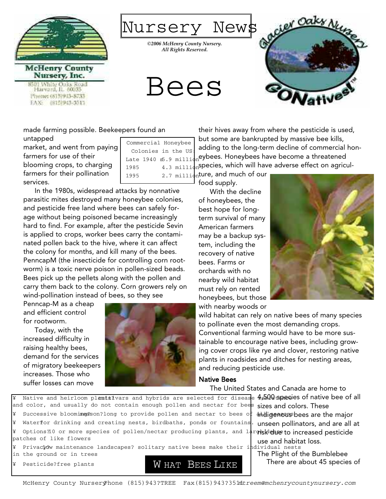

**McHenry County** Nursery, Inc. White Oaks Road Harvard, IL 60033 Phone: (515)943-8733 EAX: (815)943-3513

Nursery News

*©2006 McHenry County Nursery. All Rights Reserved.*

Bees

Colonies in the US: Late  $1940$   $$.9$  million 1985 4.3 million



made farming possible. Beekeepers found an untapped Commercial Honeybee

market, and went from paying farmers for use of their blooming crops, to charging farmers for their pollination services.

In the 1980s, widespread attacks by nonnative parasitic mites destroyed many honeybee colonies, and pesticide free land where bees can safely forage without being poisoned became increasingly hard to find. For example, after the pesticide Sevin is applied to crops, worker bees carry the contaminated pollen back to the hive, where it can affect the colony for months, and kill many of the bees. PenncapM (the insecticide for controlling corn rootworm) is a toxic nerve poison in pollen-sized beads. Bees pick up the pellets along with the pollen and carry them back to the colony. Corn growers rely on wind-pollination instead of bees, so they see

Penncap-M as a cheap and efficient control for rootworm.

Today, with the increased difficulty in raising healthy bees, demand for the services of migratory beekeepers increases. Those who suffer losses can move



their hives away from where the pesticide is used, but some are bankrupted by massive bee kills, adding to the long-term decline of commercial honeybees. Honeybees have become a threatened <sub>n</sub>species, which will have adverse effect on agricul-

1995  $_2$ ,  $_7$   $_{\text{millip}}$ ture, and much of our food supply.

> With the decline of honeybees, the best hope for longterm survival of many American farmers may be a backup system, including the recovery of native bees. Farms or orchards with no nearby wild habitat must rely on rented honeybees, but those with nearby woods or



wild habitat can rely on native bees of many species to pollinate even the most demanding crops. Conventional farming would have to be more sustainable to encourage native bees, including growing cover crops like rye and clover, restoring native plants in roadsides and ditches for nesting areas, and reducing pesticide use.

## Native Bees

The United States and Canada are home to

¥ Native and heirloom pl**ants?**vars and hybrids are selected for disease 4p500 species of native bee of all and color, and usually do not contain enough pollen and nectar for bee<mark>s sizes and colors. These</mark> ¥ Options?10 or more species of pollen/nectar producing plants, and largeskdence to increased pesticide ¥ Successive bloomis peason?long to provide pollen and nectar to bees of ¥ Water? for drinking and creating nests, birdbaths, ponds or fountains. patches of like flowers

- ¥ Privacyow maintenance landscapes? solitary native bees make their individual nests in the ground or in trees
- ¥ Pesticide?free plants



use and habitat loss. The Plight of the Bumblebee There are about 45 species of

indigenous bees are the major unseen pollinators, and are all at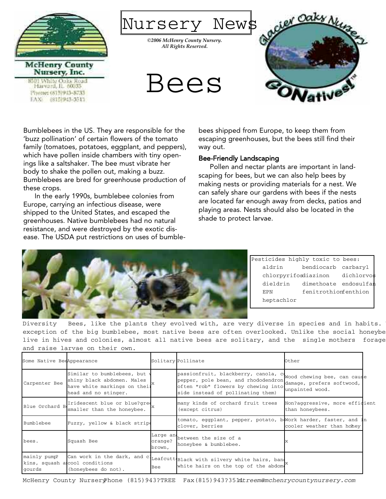

Bumblebees in the US. They are responsible for the 'buzz pollination' of certain flowers of the tomato family (tomatoes, potatoes, eggplant, and peppers), which have pollen inside chambers with tiny openings like a saltshaker. The bee must vibrate her body to shake the pollen out, making a buzz. Bumblebees are bred for greenhouse production of these crops.

In the early 1990s, bumblebee colonies from Europe, carrying an infectious disease, were shipped to the United States, and escaped the greenhouses. Native bumblebees had no natural resistance, and were destroyed by the exotic disease. The USDA put restrictions on uses of bumblebees shipped from Europe, to keep them from escaping greenhouses, but the bees still find their way out.

### Bee-Friendly Landscaping

Pollen and nectar plants are important in landscaping for bees, but we can also help bees by making nests or providing materials for a nest. We can safely share our gardens with bees if the nests are located far enough away from decks, patios and playing areas. Nests should also be located in the shade to protect larvae.



Pesticides highly toxic to bees: aldrin bendiocarb carbaryl chlorpyrifosdiazinon dichlorvos dieldrin dimethoate endosulfan EPN fenitrothionfenthion heptachlor

Diversity Bees, like the plants they evolved with, are very diverse in species and in habits. exception of the big bumblebee, most native bees are often overlooked. Unlike the social honeybe live in hives and colonies, almost all native bees are solitary, and the single mothers forage and raise larvae on their own.

| Some Native BeeAppearance |                                                                                                                                 |                                | Solitary Pollinate                                                                                                                                      | Other                                                                       |  |
|---------------------------|---------------------------------------------------------------------------------------------------------------------------------|--------------------------------|---------------------------------------------------------------------------------------------------------------------------------------------------------|-----------------------------------------------------------------------------|--|
| Carpenter Bee             | Similar to bumblebees, but w<br>shiny black abdomen. Males<br>have white markings on their <sup>x</sup><br>head and no stinger. |                                | passionfruit, blackberry, canola, co<br>pepper, pole bean, and rhododendron<br>often "rob" flowers by chewing into<br>side instead of pollinating them) | Wood chewing bee, can cause<br>damage, prefers softwood,<br>unpainted wood. |  |
| Blue Orchard B            | Iridescent blue or blue?gree<br>smaller than the honeybee.                                                                      |                                | many kinds of orchard fruit trees<br>(except citrus)                                                                                                    | Non?aggressive, more efficient<br>than honeybees.                           |  |
| <b>Bumblebee</b>          | Fuzzy, yellow & black stripe                                                                                                    |                                | tomato, eggplant, pepper, potato, b Work harder, faster, and in<br>clover, berries                                                                      | cooler weather than honey                                                   |  |
| bees.                     | Squash Bee                                                                                                                      | Large and<br>orange?<br>brown, | between the size of a<br>honeybee & bumblebee.                                                                                                          | Ιx                                                                          |  |
| mainly pump?<br>gourds    | kins, squash alcool conditions<br>(honeybees do not).                                                                           | Bee                            | can work in the dark, and cl <sub>Leafcutt</sub> Black with silvery white hairs, ban,<br>white hairs on the top of the abdom                            |                                                                             |  |